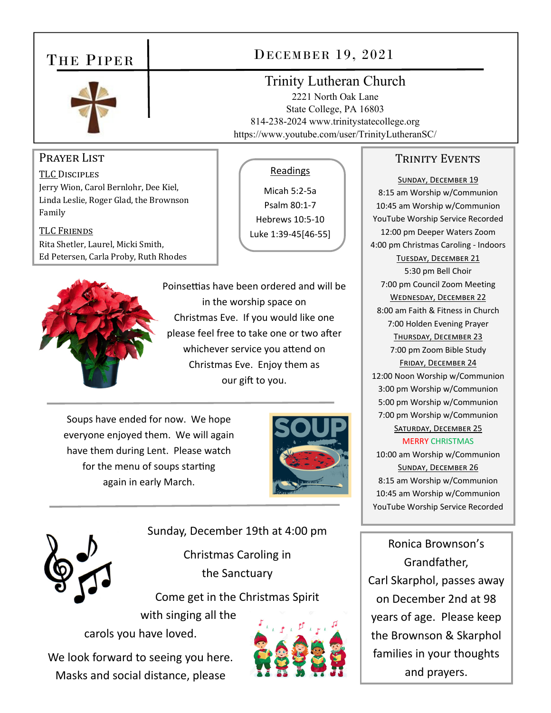## THE PIPER



## DECEMBER 19, 2021

Readings

Micah 5:2‐5a Psalm 80:1‐7 Hebrews 10:5‐10 Luke 1:39‐45[46‐55]

### Trinity Lutheran Church

2221 North Oak Lane State College, PA 16803 814-238-2024 www.trinitystatecollege.org https://www.youtube.com/user/TrinityLutheranSC/

#### PRAYER LIST

TLC DISCIPLES Jerry Wion, Carol Bernlohr, Dee Kiel, Linda Leslie, Roger Glad, the Brownson Family

TLC FRIENDS Rita Shetler, Laurel, Micki Smith, Ed Petersen, Carla Proby, Ruth Rhodes



Poinsettias have been ordered and will be in the worship space on Christmas Eve. If you would like one please feel free to take one or two after whichever service you attend on Christmas Eve. Enjoy them as our gift to you.

Soups have ended for now. We hope everyone enjoyed them. We will again have them during Lent. Please watch for the menu of soups starting again in early March.



Sunday, December 19th at 4:00 pm

Christmas Caroling in the Sanctuary

Come get in the Christmas Spirit

with singing all the carols you have loved.

We look forward to seeing you here. Masks and social distance, please



#### TRINITY EVENTS

SUNDAY, DECEMBER 19 8:15 am Worship w/Communion 10:45 am Worship w/Communion YouTube Worship Service Recorded 12:00 pm Deeper Waters Zoom 4:00 pm Christmas Caroling ‐ Indoors TUESDAY, DECEMBER 21 5:30 pm Bell Choir 7:00 pm Council Zoom Meeting WEDNESDAY, DECEMBER 22 8:00 am Faith & Fitness in Church 7:00 Holden Evening Prayer THURSDAY, DECEMBER 23 7:00 pm Zoom Bible Study FRIDAY, DECEMBER 24 12:00 Noon Worship w/Communion 3:00 pm Worship w/Communion 5:00 pm Worship w/Communion 7:00 pm Worship w/Communion SATURDAY, DECEMBER 25 MERRY CHRISTMAS 10:00 am Worship w/Communion SUNDAY, DECEMBER 26 8:15 am Worship w/Communion 10:45 am Worship w/Communion YouTube Worship Service Recorded

Ronica Brownson's Grandfather, Carl Skarphol, passes away on December 2nd at 98 years of age. Please keep the Brownson & Skarphol families in your thoughts and prayers.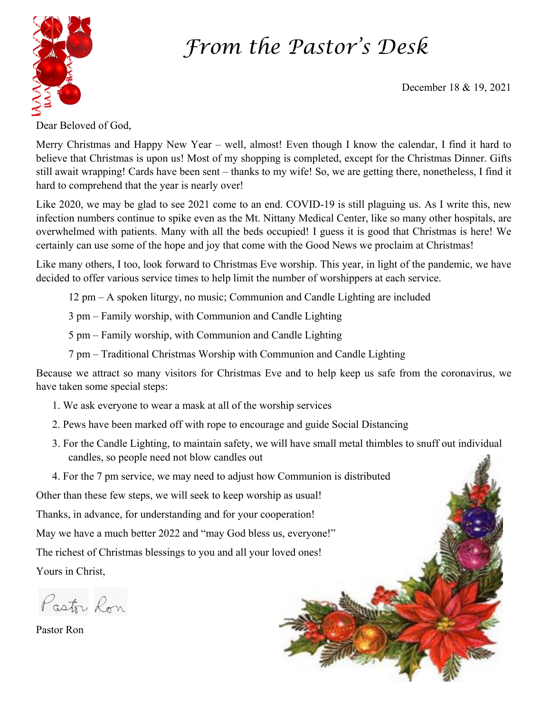## *From the Pastor's Desk*



December 18 & 19, 2021

Dear Beloved of God,

Merry Christmas and Happy New Year – well, almost! Even though I know the calendar, I find it hard to believe that Christmas is upon us! Most of my shopping is completed, except for the Christmas Dinner. Gifts still await wrapping! Cards have been sent – thanks to my wife! So, we are getting there, nonetheless, I find it hard to comprehend that the year is nearly over!

Like 2020, we may be glad to see 2021 come to an end. COVID-19 is still plaguing us. As I write this, new infection numbers continue to spike even as the Mt. Nittany Medical Center, like so many other hospitals, are overwhelmed with patients. Many with all the beds occupied! I guess it is good that Christmas is here! We certainly can use some of the hope and joy that come with the Good News we proclaim at Christmas!

Like many others, I too, look forward to Christmas Eve worship. This year, in light of the pandemic, we have decided to offer various service times to help limit the number of worshippers at each service.

12 pm – A spoken liturgy, no music; Communion and Candle Lighting are included

3 pm – Family worship, with Communion and Candle Lighting

5 pm – Family worship, with Communion and Candle Lighting

7 pm – Traditional Christmas Worship with Communion and Candle Lighting

Because we attract so many visitors for Christmas Eve and to help keep us safe from the coronavirus, we have taken some special steps:

- 1. We ask everyone to wear a mask at all of the worship services
- 2. Pews have been marked off with rope to encourage and guide Social Distancing
- 3. For the Candle Lighting, to maintain safety, we will have small metal thimbles to snuff out individual candles, so people need not blow candles out

4. For the 7 pm service, we may need to adjust how Communion is distributed

Other than these few steps, we will seek to keep worship as usual!

Thanks, in advance, for understanding and for your cooperation!

May we have a much better 2022 and "may God bless us, everyone!"

The richest of Christmas blessings to you and all your loved ones!

Yours in Christ,

Pastor Ron

Pastor Ron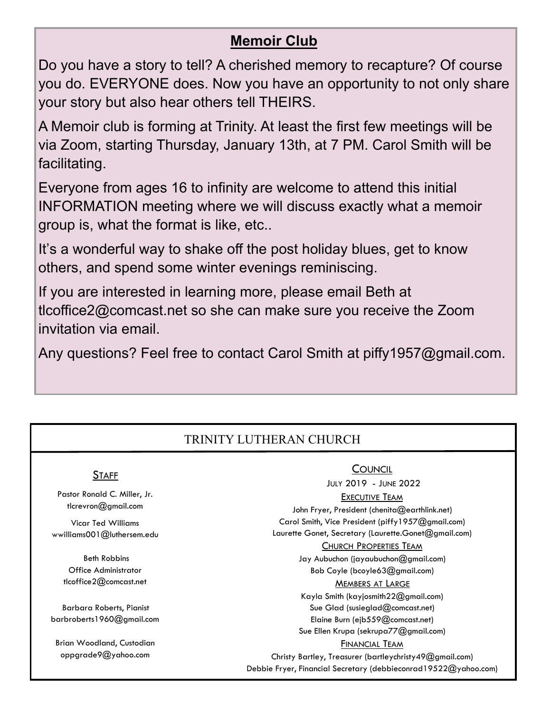## **Memoir Club**

Do you have a story to tell? A cherished memory to recapture? Of course you do. EVERYONE does. Now you have an opportunity to not only share your story but also hear others tell THEIRS.

A Memoir club is forming at Trinity. At least the first few meetings will be via Zoom, starting Thursday, January 13th, at 7 PM. Carol Smith will be facilitating.

Everyone from ages 16 to infinity are welcome to attend this initial INFORMATION meeting where we will discuss exactly what a memoir group is, what the format is like, etc..

It's a wonderful way to shake off the post holiday blues, get to know others, and spend some winter evenings reminiscing.

If you are interested in learning more, please email Beth at tlcoffice2@comcast.net so she can make sure you receive the Zoom invitation via email.

Any questions? Feel free to contact Carol Smith at piffy1957@gmail.com.

## TRINITY LUTHERAN CHURCH

#### **STAFF**

Pastor Ronald C. Miller, Jr. tlcrevron@gmail.com

Vicar Ted Williams wwilliams001@luthersem.edu

 Beth Robbins Office Administrator tlcoffice2@comcast.net

Barbara Roberts, Pianist barbroberts1960@gmail.com

Brian Woodland, Custodian oppgrade9@yahoo.com

#### **COUNCIL**

JULY 2019 - JUNE 2022

#### EXECUTIVE TEAM

John Fryer, President (chenita@earthlink.net) Carol Smith, Vice President (piffy1957@gmail.com) Laurette Gonet, Secretary (Laurette.Gonet@gmail.com)

#### CHURCH PROPERTIES TEAM

Jay Aubuchon (jayaubuchon@gmail.com) Bob Coyle (bcoyle63@gmail.com)

#### MEMBERS AT LARGE

Kayla Smith (kayjosmith22@gmail.com) Sue Glad (susieglad@comcast.net) Elaine Burn (ejb559@comcast.net) Sue Ellen Krupa (sekrupa77@gmail.com)

#### FINANCIAL TEAM

Christy Bartley, Treasurer (bartleychristy49@gmail.com) Debbie Fryer, Financial Secretary (debbieconrad19522@yahoo.com)